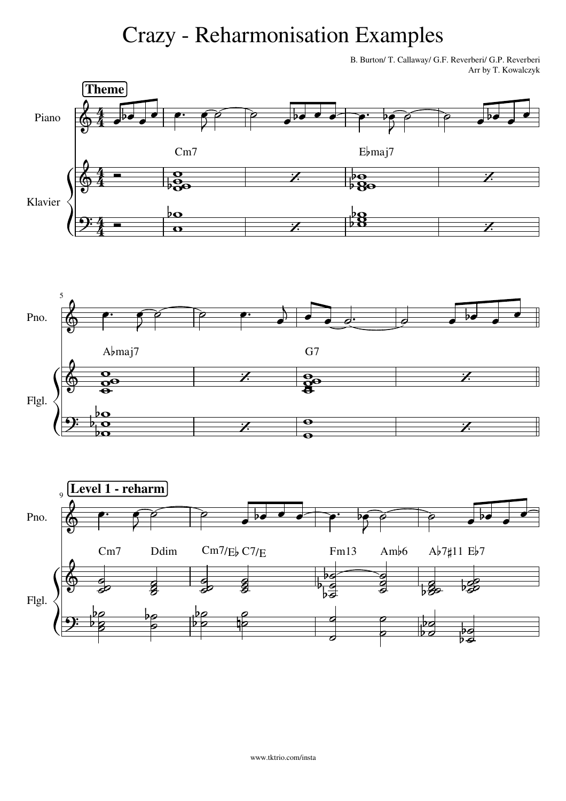## Crazy - Reharmonisation Examples

B. Burton/ T. Callaway/ G.F. Reverberi/ G.P. Reverberi Arr by T. Kowalczyk